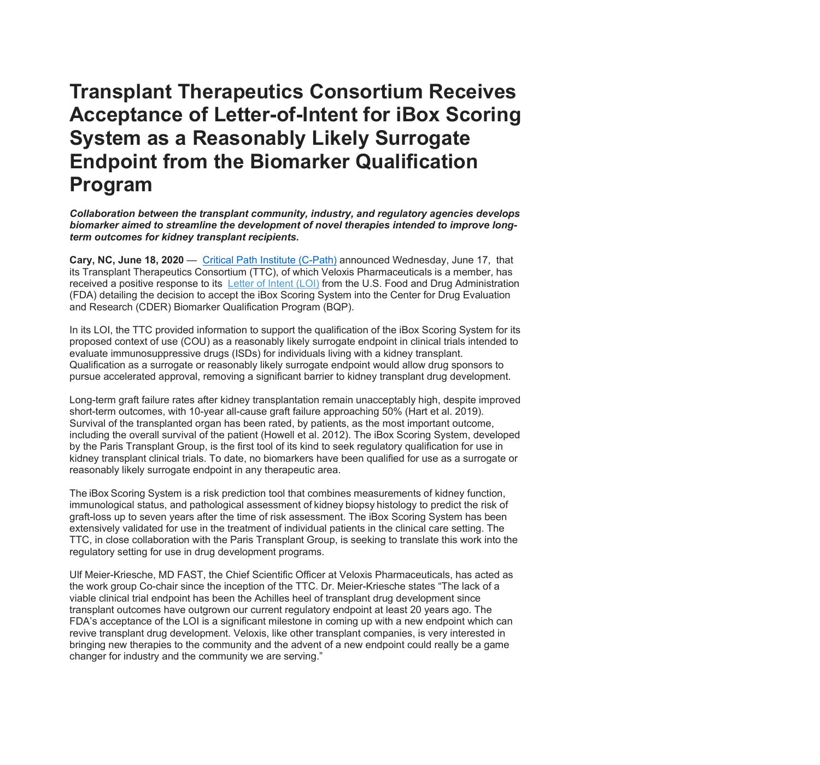## **Transplant Therapeutics Consortium Receives Acceptance of Letter-of-Intent for iBox Scoring System as a Reasonably Likely Surrogate Endpoint from the Biomarker Qualification Program**

*Collaboration between the transplant community, industry, and regulatory agencies develops biomarker aimed to streamline the development of novel therapies intended to improve longterm outcomes for kidney transplant recipients.*

**Cary, NC, June 18, 2020** — Critical Path Institute [\(C-Path\)](https://c-path.org/) announced Wednesday, June 17, that its Transplant Therapeutics Consortium (TTC), of which Veloxis Pharmaceuticals is a member, has received a positive response to its [Letter](https://www.fda.gov/drugs/cder-biomarker-qualification-program/biomarker-qualification-submissions) of Intent (LOI) from the U.S. Food and Drug Administration (FDA) detailing the decision to accept the iBox Scoring System into the Center for Drug Evaluation and Research (CDER) Biomarker Qualification Program (BQP).

In its LOI, the TTC provided information to support the qualification of the iBox Scoring System for its proposed context of use (COU) as a reasonably likely surrogate endpoint in clinical trials intended to evaluate immunosuppressive drugs (ISDs) for individuals living with a kidney transplant. Qualification as a surrogate or reasonably likely surrogate endpoint would allow drug sponsors to pursue accelerated approval, removing a significant barrier to kidney transplant drug development.

Long-term graft failure rates after kidney transplantation remain unacceptably high, despite improved short-term outcomes, with 10-year all-cause graft failure approaching 50% (Hart et al. 2019). Survival of the transplanted organ has been rated, by patients, as the most important outcome, including the overall survival of the patient (Howell et al. 2012). The iBox Scoring System, developed by the Paris Transplant Group, is the first tool of its kind to seek regulatory qualification for use in kidney transplant clinical trials. To date, no biomarkers have been qualified for use as a surrogate or reasonably likely surrogate endpoint in any therapeutic area.

The iBox Scoring System is a risk prediction tool that combines measurements of kidney function, immunological status, and pathological assessment of kidney biopsy histology to predict the risk of graft-loss up to seven years after the time of risk assessment. The iBox Scoring System has been extensively validated for use in the treatment of individual patients in the clinical care setting. The TTC, in close collaboration with the Paris Transplant Group, is seeking to translate this work into the regulatory setting for use in drug development programs.

Ulf Meier-Kriesche, MD FAST, the Chief Scientific Officer at Veloxis Pharmaceuticals, has acted as the work group Co-chair since the inception of the TTC. Dr. Meier-Kriesche states "The lack of a viable clinical trial endpoint has been the Achilles heel of transplant drug development since transplant outcomes have outgrown our current regulatory endpoint at least 20 years ago. The FDA's acceptance of the LOI is a significant milestone in coming up with a new endpoint which can revive transplant drug development. Veloxis, like other transplant companies, is very interested in bringing new therapies to the community and the advent of a new endpoint could really be a game changer for industry and the community we are serving."